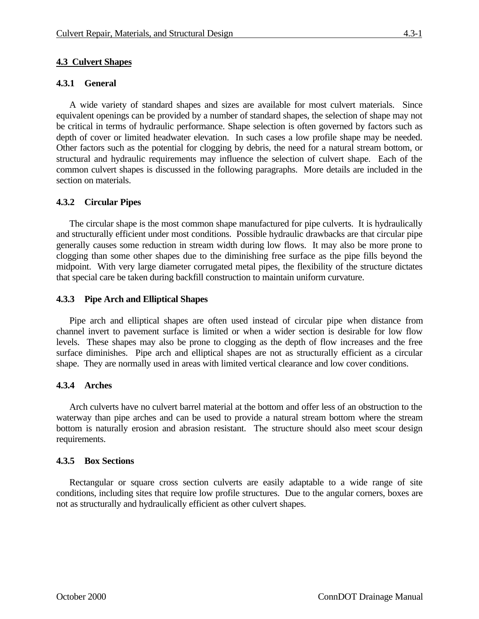# **4.3 Culvert Shapes**

## **4.3.1 General**

A wide variety of standard shapes and sizes are available for most culvert materials. Since equivalent openings can be provided by a number of standard shapes, the selection of shape may not be critical in terms of hydraulic performance. Shape selection is often governed by factors such as depth of cover or limited headwater elevation. In such cases a low profile shape may be needed. Other factors such as the potential for clogging by debris, the need for a natural stream bottom, or structural and hydraulic requirements may influence the selection of culvert shape. Each of the common culvert shapes is discussed in the following paragraphs. More details are included in the section on materials.

### **4.3.2 Circular Pipes**

The circular shape is the most common shape manufactured for pipe culverts. It is hydraulically and structurally efficient under most conditions. Possible hydraulic drawbacks are that circular pipe generally causes some reduction in stream width during low flows. It may also be more prone to clogging than some other shapes due to the diminishing free surface as the pipe fills beyond the midpoint. With very large diameter corrugated metal pipes, the flexibility of the structure dictates that special care be taken during backfill construction to maintain uniform curvature.

### **4.3.3 Pipe Arch and Elliptical Shapes**

Pipe arch and elliptical shapes are often used instead of circular pipe when distance from channel invert to pavement surface is limited or when a wider section is desirable for low flow levels. These shapes may also be prone to clogging as the depth of flow increases and the free surface diminishes. Pipe arch and elliptical shapes are not as structurally efficient as a circular shape. They are normally used in areas with limited vertical clearance and low cover conditions.

### **4.3.4 Arches**

Arch culverts have no culvert barrel material at the bottom and offer less of an obstruction to the waterway than pipe arches and can be used to provide a natural stream bottom where the stream bottom is naturally erosion and abrasion resistant. The structure should also meet scour design requirements.

#### **4.3.5 Box Sections**

Rectangular or square cross section culverts are easily adaptable to a wide range of site conditions, including sites that require low profile structures. Due to the angular corners, boxes are not as structurally and hydraulically efficient as other culvert shapes.